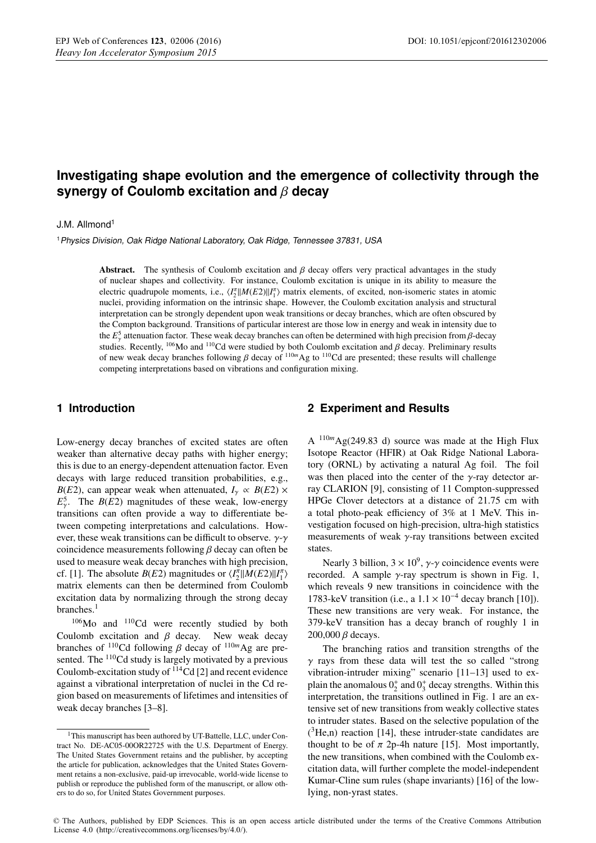# **Investigating shape evolution and the emergence of collectivity through the synergy of Coulomb excitation and** β **decay**

#### J.M. Allmond<sup>1</sup>

<sup>1</sup>Physics Division, Oak Ridge National Laboratory, Oak Ridge, Tennessee 37831, USA

**Abstract.** The synthesis of Coulomb excitation and  $\beta$  decay offers very practical advantages in the study of nuclear shapes and collectivity. For instance, Coulomb excitation is unique in its ability to measure the electric quadrupole moments, i.e.,  $\langle I_2^{\pi}||M(E2)||I_1^{\pi} \rangle$  matrix elements, of excited, non-isomeric states in atomic nuclei, providing information on the intrinsic shape. However, the Coulomb excitation analysis and structural interpretation can be strongly dependent upon weak transitions or decay branches, which are often obscured by the Compton background. Transitions of particular interest are those low in energy and weak in intensity due to the  $E_{\gamma}^{5}$  attenuation factor. These weak decay branches can often be determined with high precision from  $\beta$ -decay studies. Recently,  $^{106}$ Mo and  $^{110}$ Cd were studied by both Coulomb excitation and  $\beta$  decay. Preliminary results of new weak decay branches following  $\beta$  decay of <sup>110*m*</sup>Ag to <sup>110</sup>Cd are presented; these results will challenge competing interpretations based on vibrations and configuration mixing.

#### **1 Introduction**

Low-energy decay branches of excited states are often weaker than alternative decay paths with higher energy; this is due to an energy-dependent attenuation factor. Even decays with large reduced transition probabilities, e.g., *B*(*E*2), can appear weak when attenuated,  $I_v \propto B(E2) \times$  $E_{\gamma}^{5}$ . The *B*(*E*2) magnitudes of these weak, low-energy transitions can often provide a way to differentiate between competing interpretations and calculations. However, these weak transitions can be difficult to observe.  $\gamma$ - $\gamma$ coincidence measurements following  $\beta$  decay can often be used to measure weak decay branches with high precision, cf. [1]. The absolute *B*(*E*2) magnitudes or  $\langle I_2^{\pi} | | M(E2) | | I_1^{\pi} \rangle$ matrix elements can then be determined from Coulomb excitation data by normalizing through the strong decay branches.<sup>1</sup>

106Mo and 110Cd were recently studied by both Coulomb excitation and  $\beta$  decay. New weak decay branches of <sup>110</sup>Cd following β decay of <sup>110*m*</sup>Ag are presented. The <sup>110</sup>Cd study is largely motivated by a previous Coulomb-excitation study of  $114$ Cd [2] and recent evidence against a vibrational interpretation of nuclei in the Cd region based on measurements of lifetimes and intensities of weak decay branches [3–8].

#### **2 Experiment and Results**

A <sup>110</sup>*<sup>m</sup>*Ag(249.83 d) source was made at the High Flux Isotope Reactor (HFIR) at Oak Ridge National Laboratory (ORNL) by activating a natural Ag foil. The foil was then placed into the center of the  $\gamma$ -ray detector array CLARION [9], consisting of 11 Compton-suppressed HPGe Clover detectors at a distance of 21.75 cm with a total photo-peak efficiency of 3% at 1 MeV. This investigation focused on high-precision, ultra-high statistics measurements of weak  $\gamma$ -ray transitions between excited states.

Nearly 3 billion,  $3 \times 10^9$ ,  $\gamma$ - $\gamma$  coincidence events were recorded. A sample  $\gamma$ -ray spectrum is shown in Fig. 1, which reveals 9 new transitions in coincidence with the 1783-keV transition (i.e., a  $1.1 \times 10^{-4}$  decay branch [10]). These new transitions are very weak. For instance, the 379-keV transition has a decay branch of roughly 1 in 200,000 β decays.

The branching ratios and transition strengths of the  $\gamma$  rays from these data will test the so called "strong" vibration-intruder mixing" scenario [11–13] used to explain the anomalous  $0^+_2$  and  $0^+_3$  decay strengths. Within this interpretation, the transitions outlined in Fig. 1 are an extensive set of new transitions from weakly collective states to intruder states. Based on the selective population of the  $(^{3}He, n)$  reaction [14], these intruder-state candidates are thought to be of  $\pi$  2p-4h nature [15]. Most importantly, the new transitions, when combined with the Coulomb excitation data, will further complete the model-independent Kumar-Cline sum rules (shape invariants) [16] of the lowlying, non-yrast states.

© The Authors, published by EDP Sciences. This is an open access article distributed under the terms of the Creative Commons Attribution License 4.0 (http://creativecommons.org/licenses/by/4.0/).

<sup>&</sup>lt;sup>1</sup>This manuscript has been authored by UT-Battelle, LLC, under Contract No. DE-AC05-00OR22725 with the U.S. Department of Energy. The United States Government retains and the publisher, by accepting the article for publication, acknowledges that the United States Government retains a non-exclusive, paid-up irrevocable, world-wide license to publish or reproduce the published form of the manuscript, or allow others to do so, for United States Government purposes.